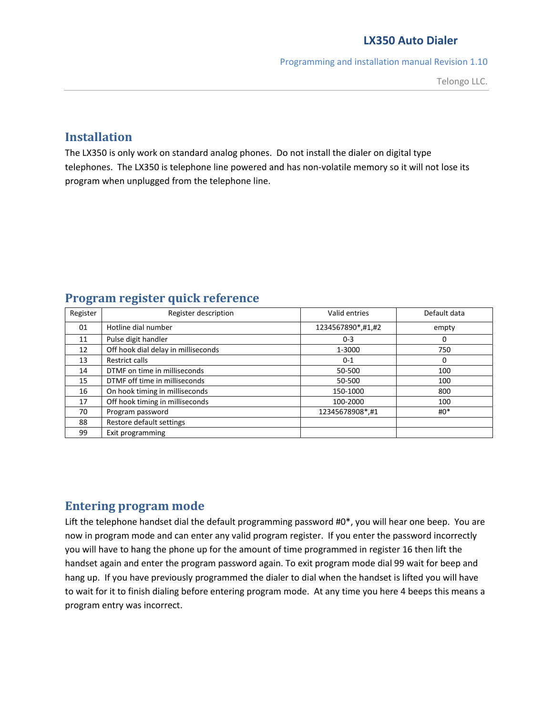Programming and installation manual Revision 1.10

# **Installation**

The LX350 is only work on standard analog phones. Do not install the dialer on digital type telephones. The LX350 is telephone line powered and has non-volatile memory so it will not lose its program when unplugged from the telephone line.

# **Program register quick reference**

| Register | Register description                | Valid entries     | Default data |
|----------|-------------------------------------|-------------------|--------------|
| 01       | Hotline dial number                 | 1234567890*,#1,#2 | empty        |
| 11       | Pulse digit handler                 | $0 - 3$           | 0            |
| 12       | Off hook dial delay in milliseconds | 1-3000            | 750          |
| 13       | <b>Restrict calls</b>               | $0 - 1$           | 0            |
| 14       | DTMF on time in milliseconds        | 50-500            | 100          |
| 15       | DTMF off time in milliseconds       | 50-500            | 100          |
| 16       | On hook timing in milliseconds      | 150-1000          | 800          |
| 17       | Off hook timing in milliseconds     | 100-2000          | 100          |
| 70       | Program password                    | 12345678908*,#1   | $#0^*$       |
| 88       | Restore default settings            |                   |              |
| 99       | Exit programming                    |                   |              |

# **Entering program mode**

Lift the telephone handset dial the default programming password #0\*, you will hear one beep. You are now in program mode and can enter any valid program register. If you enter the password incorrectly you will have to hang the phone up for the amount of time programmed in register 16 then lift the handset again and enter the program password again. To exit program mode dial 99 wait for beep and hang up. If you have previously programmed the dialer to dial when the handset is lifted you will have to wait for it to finish dialing before entering program mode. At any time you here 4 beeps this means a program entry was incorrect.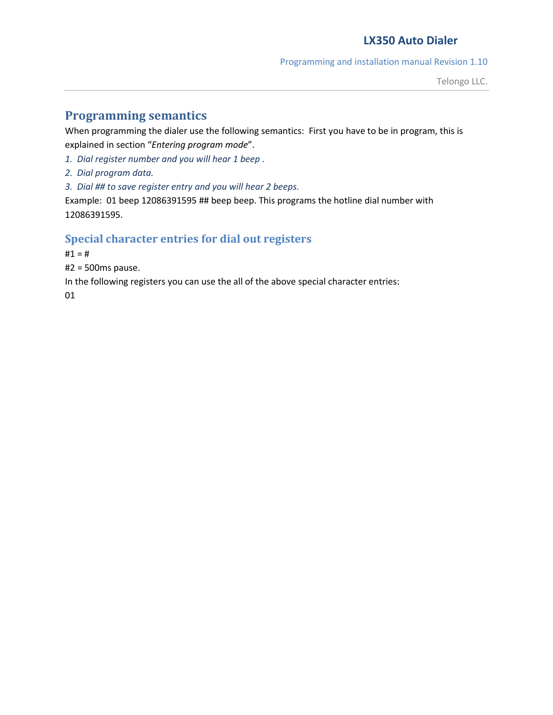Programming and installation manual Revision 1.10

# **Programming semantics**

When programming the dialer use the following semantics: First you have to be in program, this is explained in section "*Entering program mode*".

*1. Dial register number and you will hear 1 beep .*

*2. Dial program data.*

*3. Dial ## to save register entry and you will hear 2 beeps.*

Example: 01 beep 12086391595 ## beep beep. This programs the hotline dial number with 12086391595.

## **Special character entries for dial out registers**

 $#1 = #$ 

#2 = 500ms pause.

In the following registers you can use the all of the above special character entries:

01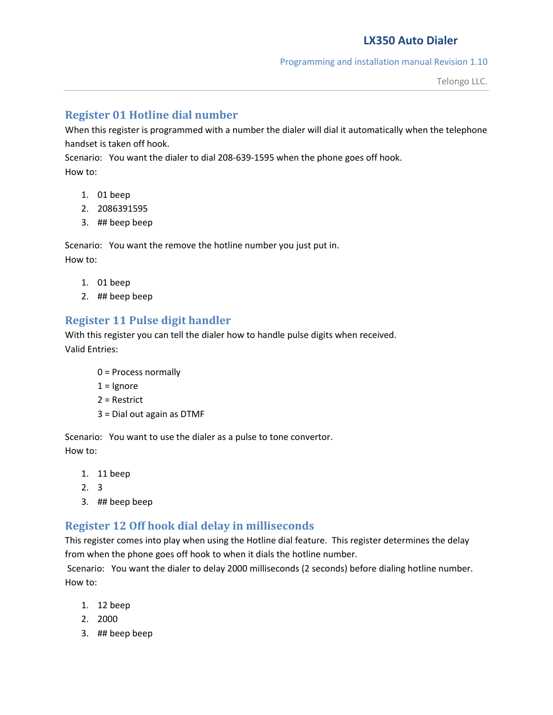#### Programming and installation manual Revision 1.10

## **Register 01 Hotline dial number**

When this register is programmed with a number the dialer will dial it automatically when the telephone handset is taken off hook.

Scenario: You want the dialer to dial 208-639-1595 when the phone goes off hook. How to:

- 1. 01 beep
- 2. 2086391595
- 3. ## beep beep

Scenario: You want the remove the hotline number you just put in. How to:

- 1. 01 beep
- 2. ## beep beep

# **Register 11 Pulse digit handler**

With this register you can tell the dialer how to handle pulse digits when received. Valid Entries:

- 0 = Process normally
- $1 =$  Ignore
- 2 = Restrict
- 3 = Dial out again as DTMF

Scenario: You want to use the dialer as a pulse to tone convertor. How to:

- 1. 11 beep
- 2. 3
- 3. ## beep beep

# **Register 12 Off hook dial delay in milliseconds**

This register comes into play when using the Hotline dial feature. This register determines the delay from when the phone goes off hook to when it dials the hotline number.

 Scenario: You want the dialer to delay 2000 milliseconds (2 seconds) before dialing hotline number. How to:

- 1. 12 beep
- 2. 2000
- 3. ## beep beep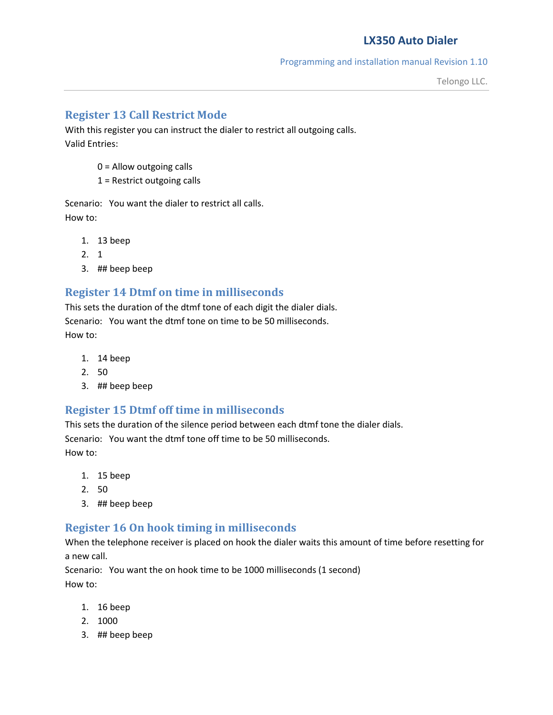#### Programming and installation manual Revision 1.10

## **Register 13 Call Restrict Mode**

With this register you can instruct the dialer to restrict all outgoing calls. Valid Entries:

- 0 = Allow outgoing calls
- 1 = Restrict outgoing calls

Scenario: You want the dialer to restrict all calls. How to:

- 1. 13 beep
- 2. 1
- 3. ## beep beep

### **Register 14 Dtmf on time in milliseconds**

This sets the duration of the dtmf tone of each digit the dialer dials. Scenario: You want the dtmf tone on time to be 50 milliseconds. How to:

- 1. 14 beep
- 2. 50
- 3. ## beep beep

### **Register 15 Dtmf off time in milliseconds**

This sets the duration of the silence period between each dtmf tone the dialer dials. Scenario: You want the dtmf tone off time to be 50 milliseconds. How to:

- 1. 15 beep
- 2. 50
- 3. ## beep beep

### **Register 16 On hook timing in milliseconds**

When the telephone receiver is placed on hook the dialer waits this amount of time before resetting for a new call.

Scenario: You want the on hook time to be 1000 milliseconds (1 second) How to:

- 1. 16 beep
- 2. 1000
- 3. ## beep beep